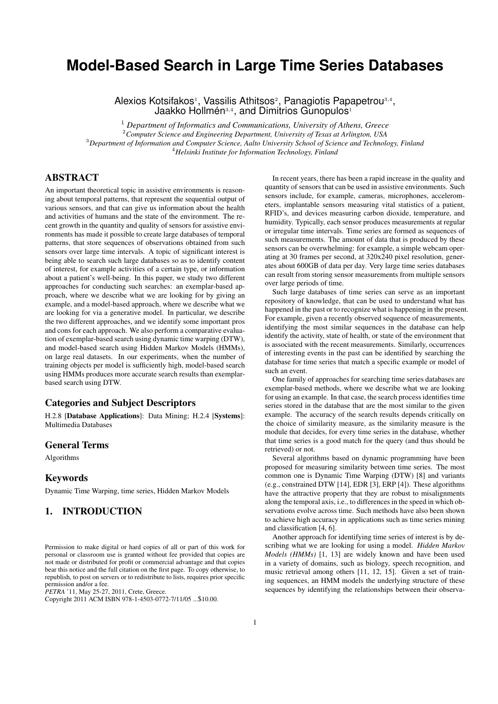# **Model-Based Search in Large Time Series Databases**

Alexios Kotsifakos<sup>1</sup>, Vassilis Athitsos<sup>2</sup>, Panagiotis Papapetrou<sup>3,4</sup>, Jaakko Hollmén<sup>3,4</sup>, and Dimitrios Gunopulos<sup>1</sup>

 *Department of Informatics and Communications, University of Athens, Greece Computer Science and Engineering Department, University of Texas at Arlington, USA Department of Information and Computer Science, Aalto University School of Science and Technology, Finland Helsinki Institute for Information Technology, Finland*

# ABSTRACT

An important theoretical topic in assistive environments is reasoning about temporal patterns, that represent the sequential output of various sensors, and that can give us information about the health and activities of humans and the state of the environment. The recent growth in the quantity and quality of sensors for assistive environments has made it possible to create large databases of temporal patterns, that store sequences of observations obtained from such sensors over large time intervals. A topic of significant interest is being able to search such large databases so as to identify content of interest, for example activities of a certain type, or information about a patient's well-being. In this paper, we study two different approaches for conducting such searches: an exemplar-based approach, where we describe what we are looking for by giving an example, and a model-based approach, where we describe what we are looking for via a generative model. In particular, we describe the two different approaches, and we identify some important pros and cons for each approach. We also perform a comparative evaluation of exemplar-based search using dynamic time warping (DTW), and model-based search using Hidden Markov Models (HMMs), on large real datasets. In our experiments, when the number of training objects per model is sufficiently high, model-based search using HMMs produces more accurate search results than exemplarbased search using DTW.

## Categories and Subject Descriptors

H.2.8 [Database Applications]: Data Mining; H.2.4 [Systems]: Multimedia Databases

## General Terms

Algorithms

#### Keywords

Dynamic Time Warping, time series, Hidden Markov Models

# 1. INTRODUCTION

*PETRA* '11, May 25-27, 2011, Crete, Greece.

In recent years, there has been a rapid increase in the quality and quantity of sensors that can be used in assistive environments. Such sensors include, for example, cameras, microphones, accelerometers, implantable sensors measuring vital statistics of a patient, RFID's, and devices measuring carbon dioxide, temperature, and humidity. Typically, each sensor produces measurements at regular or irregular time intervals. Time series are formed as sequences of such measurements. The amount of data that is produced by these sensors can be overwhelming: for example, a simple webcam operating at 30 frames per second, at 320x240 pixel resolution, generates about 600GB of data per day. Very large time series databases can result from storing sensor measurements from multiple sensors over large periods of time.

Such large databases of time series can serve as an important repository of knowledge, that can be used to understand what has happened in the past or to recognize what is happening in the present. For example, given a recently observed sequence of measurements, identifying the most similar sequences in the database can help identify the activity, state of health, or state of the environment that is associated with the recent measurements. Similarly, occurrences of interesting events in the past can be identified by searching the database for time series that match a specific example or model of such an event.

One family of approaches for searching time series databases are exemplar-based methods, where we describe what we are looking for using an example. In that case, the search process identifies time series stored in the database that are the most similar to the given example. The accuracy of the search results depends critically on the choice of similarity measure, as the similarity measure is the module that decides, for every time series in the database, whether that time series is a good match for the query (and thus should be retrieved) or not.

Several algorithms based on dynamic programming have been proposed for measuring similarity between time series. The most common one is Dynamic Time Warping (DTW) [8] and variants (e.g., constrained DTW [14], EDR [3], ERP [4]). These algorithms have the attractive property that they are robust to misalignments along the temporal axis, i.e., to differences in the speed in which observations evolve across time. Such methods have also been shown to achieve high accuracy in applications such as time series mining and classification [4, 6].

Another approach for identifying time series of interest is by describing what we are looking for using a model. *Hidden Markov Models (HMMs)* [1, 13] are widely known and have been used in a variety of domains, such as biology, speech recognition, and music retrieval among others [11, 12, 15]. Given a set of training sequences, an HMM models the underlying structure of these sequences by identifying the relationships between their observa-

Permission to make digital or hard copies of all or part of this work for personal or classroom use is granted without fee provided that copies are not made or distributed for profit or commercial advantage and that copies bear this notice and the full citation on the first page. To copy otherwise, to republish, to post on servers or to redistribute to lists, requires prior specific permission and/or a fee.

Copyright 2011 ACM ISBN 978-1-4503-0772-7/11/05 ...\$10.00.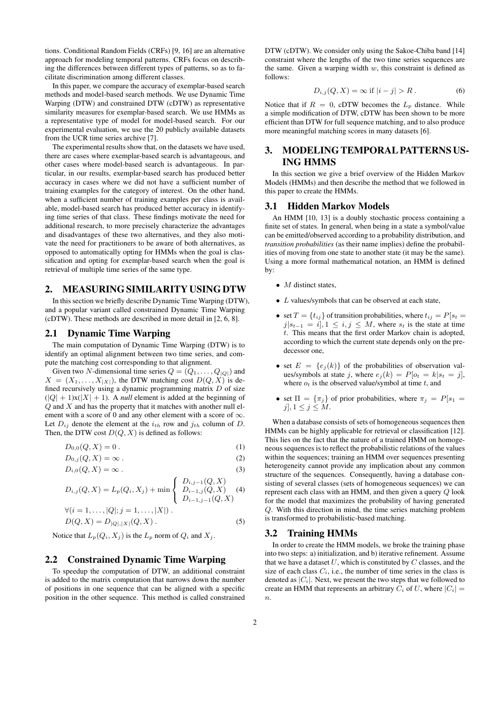tions. Conditional Random Fields (CRFs) [9, 16] are an alternative approach for modeling temporal patterns. CRFs focus on describing the differences between different types of patterns, so as to facilitate discrimination among different classes.

In this paper, we compare the accuracy of exemplar-based search methods and model-based search methods. We use Dynamic Time Warping (DTW) and constrained DTW (cDTW) as representative similarity measures for exemplar-based search. We use HMMs as a representative type of model for model-based search. For our experimental evaluation, we use the 20 publicly available datasets from the UCR time series archive [7].

The experimental results show that, on the datasets we have used, there are cases where exemplar-based search is advantageous, and other cases where model-based search is advantageous. In particular, in our results, exemplar-based search has produced better accuracy in cases where we did not have a sufficient number of training examples for the category of interest. On the other hand, when a sufficient number of training examples per class is available, model-based search has produced better accuracy in identifying time series of that class. These findings motivate the need for additional research, to more precisely characterize the advantages and disadvantages of these two alternatives, and they also motivate the need for practitioners to be aware of both alternatives, as opposed to automatically opting for HMMs when the goal is classification and opting for exemplar-based search when the goal is retrieval of multiple time series of the same type.

# 2. MEASURING SIMILARITY USING DTW

In this section we briefly describe Dynamic Time Warping (DTW), and a popular variant called constrained Dynamic Time Warping (cDTW). These methods are described in more detail in [2, 6, 8].

# 2.1 Dynamic Time Warping

The main computation of Dynamic Time Warping (DTW) is to identify an optimal alignment between two time series, and compute the matching cost corresponding to that alignment.

Given two *N*-dimensional time series  $Q = (Q_1, \ldots, Q_{|Q|})$  and  $X = (X_1, \ldots, X_{|X|})$ , the DTW matching cost  $D(Q, X)$  is defined recursively using a dynamic programming matrix *D* of size  $(|Q| + 1)x(|X| + 1)$ . A *null* element is added at the beginning of *Q* and *X* and has the property that it matches with another null element with a score of 0 and any other element with a score of *∞*. Let  $D_{ij}$  denote the element at the  $i_{th}$  row and  $j_{th}$  column of  $D$ . Then, the DTW cost  $D(Q, X)$  is defined as follows:

$$
D_{0,0}(Q,X) = 0.
$$
 (1)

$$
D_{0,j}(Q,X) = \infty \tag{2}
$$

$$
D_{i,0}(Q, X) = \infty.
$$
\n(3)

$$
D_{i,j}(Q, X) = L_p(Q_i, X_j) + \min\left\{\begin{array}{l} D_{i,j-1}(Q, X) \\ D_{i-1,j}(Q, X) \\ D_{i-1,j-1}(Q, X) \end{array}\right. (4)
$$

$$
\forall (i = 1, ..., |Q|; j = 1, ..., |X|) .
$$
  

$$
D(Q, X) = D_{|Q|, |X|}(Q, X) .
$$
 (5)

Notice that  $L_p(Q_i, X_j)$  is the  $L_p$  norm of  $Q_i$  and  $X_j$ .

#### 2.2 Constrained Dynamic Time Warping

To speedup the computation of DTW, an additional constraint is added to the matrix computation that narrows down the number of positions in one sequence that can be aligned with a specific position in the other sequence. This method is called constrained DTW (cDTW). We consider only using the Sakoe-Chiba band [14] constraint where the lengths of the two time series sequences are the same. Given a warping width *w*, this constraint is defined as follows:

$$
D_{i,j}(Q, X) = \infty \text{ if } |i - j| > R. \tag{6}
$$

Notice that if  $R = 0$ , cDTW becomes the  $L_p$  distance. While a simple modification of DTW, cDTW has been shown to be more efficient than DTW for full sequence matching, and to also produce more meaningful matching scores in many datasets [6].

# 3. MODELING TEMPORAL PATTERNS US-ING HMMS

In this section we give a brief overview of the Hidden Markov Models (HMMs) and then describe the method that we followed in this paper to create the HMMs.

### 3.1 Hidden Markov Models

An HMM [10, 13] is a doubly stochastic process containing a finite set of states. In general, when being in a state a symbol/value can be emitted/observed according to a probability distribution, and *transition probabilities* (as their name implies) define the probabilities of moving from one state to another state (it may be the same). Using a more formal mathematical notation, an HMM is defined by:

- *M* distinct states.
- *• L* values/symbols that can be observed at each state,
- set  $T = \{t_{ij}\}$  of transition probabilities, where  $t_{ij} = P[s_t]$ *j*| $s_{t-1}$  = *i*], 1 ≤ *i, j* ≤ *M*, where  $s_t$  is the state at time *t*. This means that the first order Markov chain is adopted, according to which the current state depends only on the predecessor one,
- set  $E = \{e_i(k)\}\$  of the probabilities of observation values/symbols at state *j*, where  $e_j(k) = P[o_t = k | s_t = j]$ , where  $o_t$  is the observed value/symbol at time  $t$ , and
- set  $\Pi = {\pi_j}$  of prior probabilities, where  $\pi_j = P[s_1]$  $j$ ,  $1 \leq j \leq M$ .

When a database consists of sets of homogeneous sequences then HMMs can be highly applicable for retrieval or classification [12]. This lies on the fact that the nature of a trained HMM on homogeneous sequences is to reflect the probabilistic relations of the values within the sequences; training an HMM over sequences presenting heterogeneity cannot provide any implication about any common structure of the sequences. Consequently, having a database consisting of several classes (sets of homogeneous sequences) we can represent each class with an HMM, and then given a query *Q* look for the model that maximizes the probability of having generated *Q*. With this direction in mind, the time series matching problem is transformed to probabilistic-based matching.

## 3.2 Training HMMs

In order to create the HMM models, we broke the training phase into two steps: a) initialization, and b) iterative refinement. Assume that we have a dataset *U*, which is constituted by *C* classes, and the size of each class  $C_i$ , i.e., the number of time series in the class is denoted as  $|C_i|$ . Next, we present the two steps that we followed to create an HMM that represents an arbitrary  $C_i$  of  $U$ , where  $|C_i|$ *n*.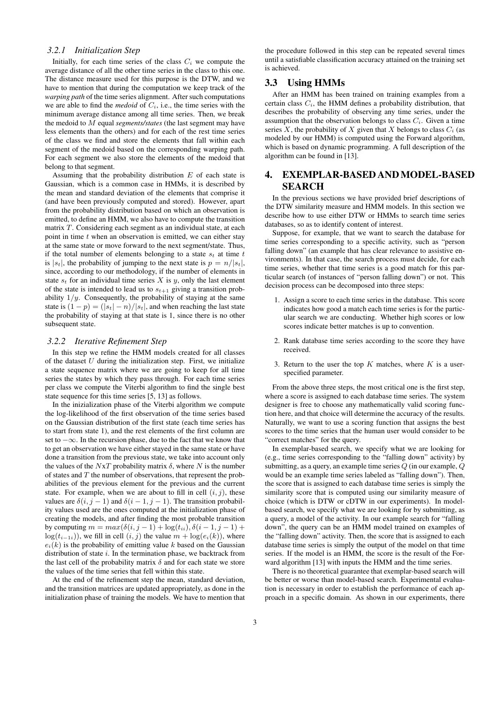#### *3.2.1 Initialization Step*

Initially, for each time series of the class  $C_i$  we compute the average distance of all the other time series in the class to this one. The distance measure used for this purpose is the DTW, and we have to mention that during the computation we keep track of the *warping path* of the time series alignment. After such computations we are able to find the *medoid* of  $C_i$ , i.e., the time series with the minimum average distance among all time series. Then, we break the medoid to *M* equal *segments/states* (the last segment may have less elements than the others) and for each of the rest time series of the class we find and store the elements that fall within each segment of the medoid based on the corresponding warping path. For each segment we also store the elements of the medoid that belong to that segment.

Assuming that the probability distribution *E* of each state is Gaussian, which is a common case in HMMs, it is described by the mean and standard deviation of the elements that comprise it (and have been previously computed and stored). However, apart from the probability distribution based on which an observation is emitted, to define an HMM, we also have to compute the transition matrix *T*. Considering each segment as an individual state, at each point in time *t* when an observation is emitted, we can either stay at the same state or move forward to the next segment/state. Thus, if the total number of elements belonging to a state  $s_t$  at time  $t$ is  $|s_t|$ , the probability of jumping to the next state is  $p = n/|s_t|$ , since, according to our methodology, if the number of elements in state  $s_t$  for an individual time series  $X$  is  $y$ , only the last element of the state is intended to lead us to  $s_{t+1}$  giving a transition probability  $1/y$ . Consequently, the probability of staying at the same state is  $(1 - p) = (|s_t| - n)/|s_t|$ , and when reaching the last state the probability of staying at that state is 1, since there is no other subsequent state.

#### *3.2.2 Iterative Refinement Step*

In this step we refine the HMM models created for all classes of the dataset *U* during the initialization step. First, we initialize a state sequence matrix where we are going to keep for all time series the states by which they pass through. For each time series per class we compute the Viterbi algorithm to find the single best state sequence for this time series [5, 13] as follows.

In the inizialization phase of the Viterbi algorithm we compute the log-likelihood of the first observation of the time series based on the Gaussian distribution of the first state (each time series has to start from state 1), and the rest elements of the first column are set to *−∞*. In the recursion phase, due to the fact that we know that to get an observation we have either stayed in the same state or have done a transition from the previous state, we take into account only the values of the  $NxT$  probability matrix  $\delta$ , where  $N$  is the number of states and *T* the number of observations, that represent the probabilities of the previous element for the previous and the current state. For example, when we are about to fill in cell  $(i, j)$ , these values are  $\delta(i, j - 1)$  and  $\delta(i - 1, j - 1)$ . The transition probability values used are the ones computed at the initialization phase of creating the models, and after finding the most probable transition **by computing**  $m = max(δ(i, j − 1) + log(t_{ii}), δ(i − 1, j − 1) +$ log( $t_{i-1i}$ )), we fill in cell  $(i, j)$  the value  $m + \log(e_i(k))$ , where  $e_i(k)$  is the probability of emitting value *k* based on the Gaussian distribution of state *i*. In the termination phase, we backtrack from the last cell of the probability matrix  $\delta$  and for each state we store the values of the time series that fell within this state.

At the end of the refinement step the mean, standard deviation, and the transition matrices are updated appropriately, as done in the initialization phase of training the models. We have to mention that

the procedure followed in this step can be repeated several times until a satisfiable classification accuracy attained on the training set is achieved.

# 3.3 Using HMMs

After an HMM has been trained on training examples from a certain class *Ci*, the HMM defines a probability distribution, that describes the probability of observing any time series, under the assumption that the observation belongs to class  $C_i$ . Given a time series *X*, the probability of *X* given that *X* belongs to class  $C_i$  (as modeled by our HMM) is computed using the Forward algorithm, which is based on dynamic programming. A full description of the algorithm can be found in [13].

# 4. EXEMPLAR-BASED ANDMODEL-BASED SEARCH

In the previous sections we have provided brief descriptions of the DTW similarity measure and HMM models. In this section we describe how to use either DTW or HMMs to search time series databases, so as to identify content of interest.

Suppose, for example, that we want to search the database for time series corresponding to a specific activity, such as "person falling down" (an example that has clear relevance to assistive environments). In that case, the search process must decide, for each time series, whether that time series is a good match for this particular search (of instances of "person falling down") or not. This decision process can be decomposed into three steps:

- 1. Assign a score to each time series in the database. This score indicates how good a match each time series is for the particular search we are conducting. Whether high scores or low scores indicate better matches is up to convention.
- 2. Rank database time series according to the score they have received.
- 3. Return to the user the top *K* matches, where *K* is a userspecified parameter.

From the above three steps, the most critical one is the first step, where a score is assigned to each database time series. The system designer is free to choose any mathematically valid scoring function here, and that choice will determine the accuracy of the results. Naturally, we want to use a scoring function that assigns the best scores to the time series that the human user would consider to be "correct matches" for the query.

In exemplar-based search, we specify what we are looking for (e.g., time series corresponding to the "falling down" activity) by submitting, as a query, an example time series *Q* (in our example, *Q* would be an example time series labeled as "falling down"). Then, the score that is assigned to each database time series is simply the similarity score that is computed using our similarity measure of choice (which is DTW or cDTW in our experiments). In modelbased search, we specify what we are looking for by submitting, as a query, a model of the activity. In our example search for "falling down", the query can be an HMM model trained on examples of the "falling down" activity. Then, the score that is assigned to each database time series is simply the output of the model on that time series. If the model is an HMM, the score is the result of the Forward algorithm [13] with inputs the HMM and the time series.

There is no theoretical guarantee that exemplar-based search will be better or worse than model-based search. Experimental evaluation is necessary in order to establish the performance of each approach in a specific domain. As shown in our experiments, there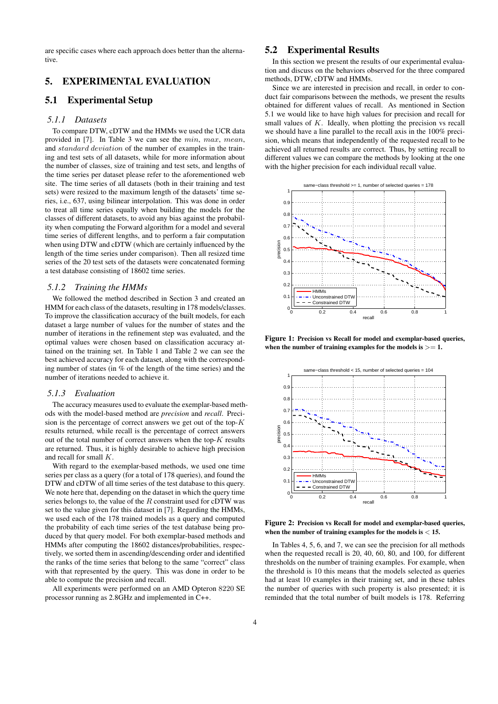are specific cases where each approach does better than the alternative.

# 5. EXPERIMENTAL EVALUATION

# 5.1 Experimental Setup

#### *5.1.1 Datasets*

To compare DTW, cDTW and the HMMs we used the UCR data provided in [7]. In Table 3 we can see the *min*, *max*, *mean*, and *standard deviation* of the number of examples in the training and test sets of all datasets, while for more information about the number of classes, size of training and test sets, and lengths of the time series per dataset please refer to the aforementioned web site. The time series of all datasets (both in their training and test sets) were resized to the maximum length of the datasets' time series, i.e., 637, using bilinear interpolation. This was done in order to treat all time series equally when building the models for the classes of different datasets, to avoid any bias against the probability when computing the Forward algorithm for a model and several time series of different lengths, and to perform a fair computation when using DTW and cDTW (which are certainly influenced by the length of the time series under comparison). Then all resized time series of the 20 test sets of the datasets were concatenated forming a test database consisting of 18602 time series.

#### *5.1.2 Training the HMMs*

We followed the method described in Section 3 and created an HMM for each class of the datasets, resulting in 178 models/classes. To improve the classification accuracy of the built models, for each dataset a large number of values for the number of states and the number of iterations in the refinement step was evaluated, and the optimal values were chosen based on classification accuracy attained on the training set. In Table 1 and Table 2 we can see the best achieved accuracy for each dataset, along with the corresponding number of states (in % of the length of the time series) and the number of iterations needed to achieve it.

#### *5.1.3 Evaluation*

The accuracy measures used to evaluate the exemplar-based methods with the model-based method are *precision* and *recall*. Precision is the percentage of correct answers we get out of the top-*K* results returned, while recall is the percentage of correct answers out of the total number of correct answers when the top-*K* results are returned. Thus, it is highly desirable to achieve high precision and recall for small *K*.

With regard to the exemplar-based methods, we used one time series per class as a query (for a total of 178 queries), and found the DTW and cDTW of all time series of the test database to this query. We note here that, depending on the dataset in which the query time series belongs to, the value of the *R* constraint used for cDTW was set to the value given for this dataset in [7]. Regarding the HMMs, we used each of the 178 trained models as a query and computed the probability of each time series of the test database being produced by that query model. For both exemplar-based methods and HMMs after computing the 18602 distances/probabilities, respectively, we sorted them in ascending/descending order and identified the ranks of the time series that belong to the same "correct" class with that represented by the query. This was done in order to be able to compute the precision and recall.

All experiments were performed on an AMD Opteron 8220 SE processor running as 2.8GHz and implemented in C++.

# 5.2 Experimental Results

In this section we present the results of our experimental evaluation and discuss on the behaviors observed for the three compared methods, DTW, cDTW and HMMs.

Since we are interested in precision and recall, in order to conduct fair comparisons between the methods, we present the results obtained for different values of recall. As mentioned in Section 5.1 we would like to have high values for precision and recall for small values of *K*. Ideally, when plotting the precision vs recall we should have a line parallel to the recall axis in the 100% precision, which means that independently of the requested recall to be achieved all returned results are correct. Thus, by setting recall to different values we can compare the methods by looking at the one with the higher precision for each individual recall value.



Figure 1: Precision vs Recall for model and exemplar-based queries, when the number of training examples for the models is  $\geq = 1$ .



Figure 2: Precision vs Recall for model and exemplar-based queries, when the number of training examples for the models is *<* 15.

In Tables 4, 5, 6, and 7, we can see the precision for all methods when the requested recall is 20, 40, 60, 80, and 100, for different thresholds on the number of training examples. For example, when the threshold is 10 this means that the models selected as queries had at least 10 examples in their training set, and in these tables the number of queries with such property is also presented; it is reminded that the total number of built models is 178. Referring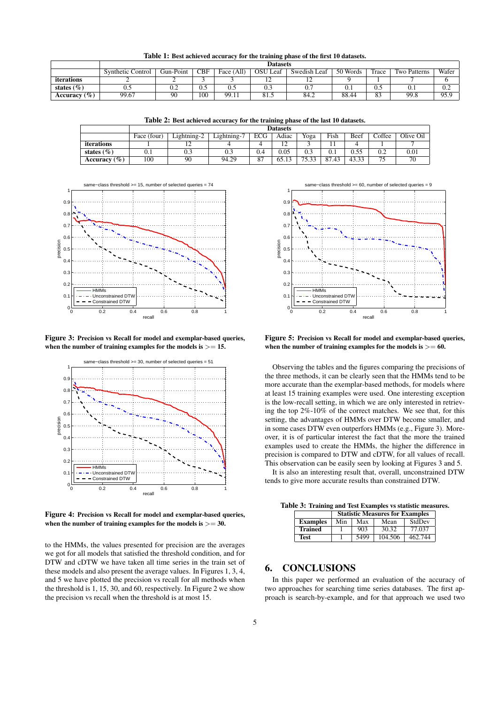Table 1: Best achieved accuracy for the training phase of the first 10 datasets.

|                  | <b>Datasets</b>   |           |            |              |              |              |          |                |                     |       |
|------------------|-------------------|-----------|------------|--------------|--------------|--------------|----------|----------------|---------------------|-------|
|                  | Synthetic Control | Gun-Point | <b>CBF</b> | All)<br>Face | OSU.<br>Leaf | Swedish Leaf | 50 Words | Trace          | <b>Two Patterns</b> | Wafer |
| iterations       |                   |           |            |              | . .          | . .          |          |                |                     |       |
| states $(\% )$   | ∪.∪               | U.L       | U.J        | U.J          | U.J          | v.           | v. i     | U.J            | V. I                | 0.2   |
| Accuracy $(\% )$ | 99.67             | 90        | 100        | 99.11        | 0 I .J       | 84.2         | 88.44    | $\Omega$<br>02 | 99.8                | 95.9  |

Table 2: Best achieved accuracy for the training phase of the last 10 datasets.

|                   | <b>Datasets</b> |             |             |            |       |       |       |       |        |           |
|-------------------|-----------------|-------------|-------------|------------|-------|-------|-------|-------|--------|-----------|
|                   | Face (four)     | Lightning-2 | Lightning-7 | <b>ECG</b> | Adiac | Yoga  | Fish  | Beef  | Coffee | Olive Oil |
| <i>iterations</i> |                 | ∸           |             |            |       |       |       |       |        |           |
| states $(\% )$    | $\rm 0.1$       | 0.3         | 0.3         | 0.4        | 0.05  | 0.3   | 0.1   | 0.55  | 0.2    | 0.01      |
| Accuracy $(\% )$  | 100             | 90          | 94.29       | 87         | 65.13 | 75.33 | 87.43 | 43.33 | 7c     | 70        |



Figure 3: Precision vs Recall for model and exemplar-based queries, when the number of training examples for the models is  $\geq$  = 15.



Figure 4: Precision vs Recall for model and exemplar-based queries, when the number of training examples for the models is *>*= 30.

to the HMMs, the values presented for precision are the averages we got for all models that satisfied the threshold condition, and for DTW and cDTW we have taken all time series in the train set of these models and also present the average values. In Figures 1, 3, 4, and 5 we have plotted the precision vs recall for all methods when the threshold is 1, 15, 30, and 60, respectively. In Figure 2 we show the precision vs recall when the threshold is at most 15.



Figure 5: Precision vs Recall for model and exemplar-based queries, when the number of training examples for the models is  $>= 60$ .

Observing the tables and the figures comparing the precisions of the three methods, it can be clearly seen that the HMMs tend to be more accurate than the exemplar-based methods, for models where at least 15 training examples were used. One interesting exception is the low-recall setting, in which we are only interested in retrieving the top 2%-10% of the correct matches. We see that, for this setting, the advantages of HMMs over DTW become smaller, and in some cases DTW even outperfors HMMs (e.g., Figure 3). Moreover, it is of particular interest the fact that the more the trained examples used to create the HMMs, the higher the difference in precision is compared to DTW and cDTW, for all values of recall. This observation can be easily seen by looking at Figures 3 and 5.

It is also an interesting result that, overall, unconstrained DTW tends to give more accurate results than constrained DTW.

Table 3: Training and Test Examples vs statistic measures.

|                 | <b>Statistic Measures for Examples</b> |      |         |         |  |  |  |  |
|-----------------|----------------------------------------|------|---------|---------|--|--|--|--|
| <b>Examples</b> | Min                                    | Max  | Mean    | StdDev  |  |  |  |  |
| <b>Trained</b>  |                                        | 903  | 30.32   | 77.037  |  |  |  |  |
| Test            |                                        | 5499 | 104.506 | 462.744 |  |  |  |  |

# 6. CONCLUSIONS

In this paper we performed an evaluation of the accuracy of two approaches for searching time series databases. The first approach is search-by-example, and for that approach we used two